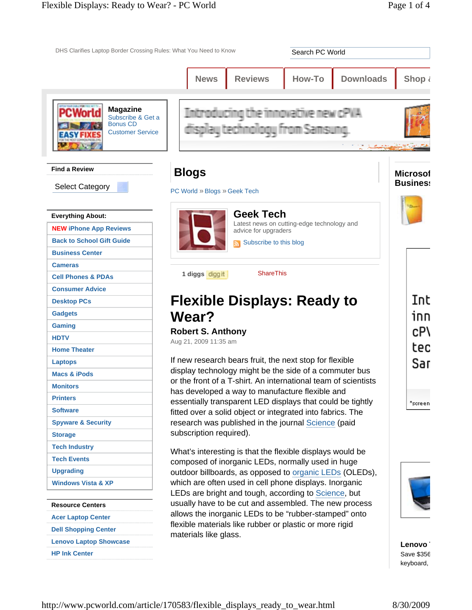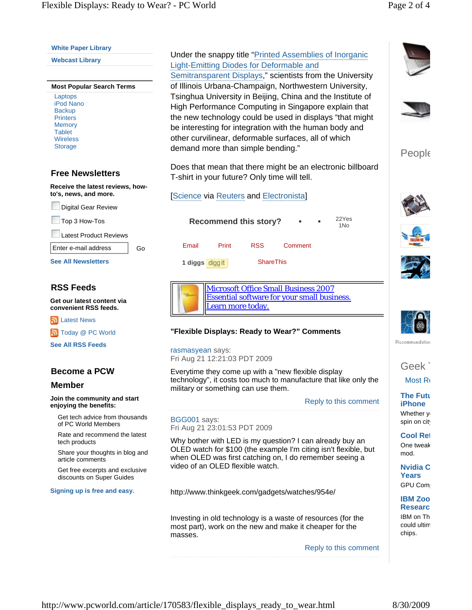Laptops

Backup **Printers Memory Tablet** 

Storage

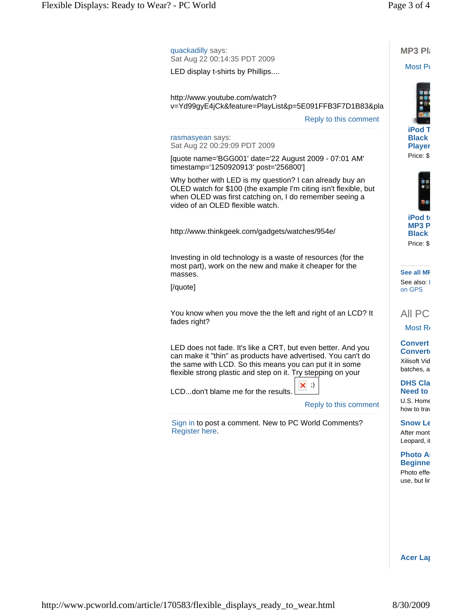| quackadilly says:<br>Sat Aug 22 00:14:35 PDT 2009                                                                                                                                                                                                       | <b>MP3 Pla</b>                                                 |
|---------------------------------------------------------------------------------------------------------------------------------------------------------------------------------------------------------------------------------------------------------|----------------------------------------------------------------|
| LED display t-shirts by Phillips                                                                                                                                                                                                                        | Most Po                                                        |
| http://www.youtube.com/watch?<br>v=Yd99gyE4jCk&feature=PlayList&p=5E091FFB3F7D1B83&pla<br>Reply to this comment                                                                                                                                         | <b>iPod T</b>                                                  |
| rasmasyean says:<br>Sat Aug 22 00:29:09 PDT 2009                                                                                                                                                                                                        | <b>Black</b><br><b>Player</b>                                  |
| [quote name='BGG001' date='22 August 2009 - 07:01 AM'<br>timestamp='1250920913' post='256800']                                                                                                                                                          | Price: \$                                                      |
| Why bother with LED is my question? I can already buy an<br>OLED watch for \$100 (the example I'm citing isn't flexible, but<br>when OLED was first catching on, I do remember seeing a<br>video of an OLED flexible watch.                             |                                                                |
| http://www.thinkgeek.com/gadgets/watches/954e/                                                                                                                                                                                                          | iPod to<br><b>MP3P</b><br><b>Black</b><br>Price: \$            |
| Investing in old technology is a waste of resources (for the<br>most part), work on the new and make it cheaper for the<br>masses.                                                                                                                      | See all MF                                                     |
| [/quote]                                                                                                                                                                                                                                                | See also: I<br>on GPS                                          |
| You know when you move the the left and right of an LCD? It<br>fades right?                                                                                                                                                                             | All PC<br>Most Ro                                              |
| LED does not fade. It's like a CRT, but even better. And you<br>can make it "thin" as products have advertised. You can't do<br>the same with LCD. So this means you can put it in some<br>flexible strong plastic and step on it. Try stepping on your | <b>Convert</b><br><b>Convert</b><br>Xilisoft Vid<br>batches, a |
| $\times$<br>LCDdon't blame me for the results.<br>Reply to this comment                                                                                                                                                                                 | <b>DHS Cla</b><br><b>Need to</b><br>U.S. Home<br>how to tray   |
| Sign in to post a comment. New to PC World Comments?<br>Register here.                                                                                                                                                                                  | <b>Snow Le</b><br>After mont<br>Leopard, it                    |
|                                                                                                                                                                                                                                                         | <b>Photo A</b><br><b>Beginne</b><br>Photo effe<br>use, but lir |

**Acer Lap**